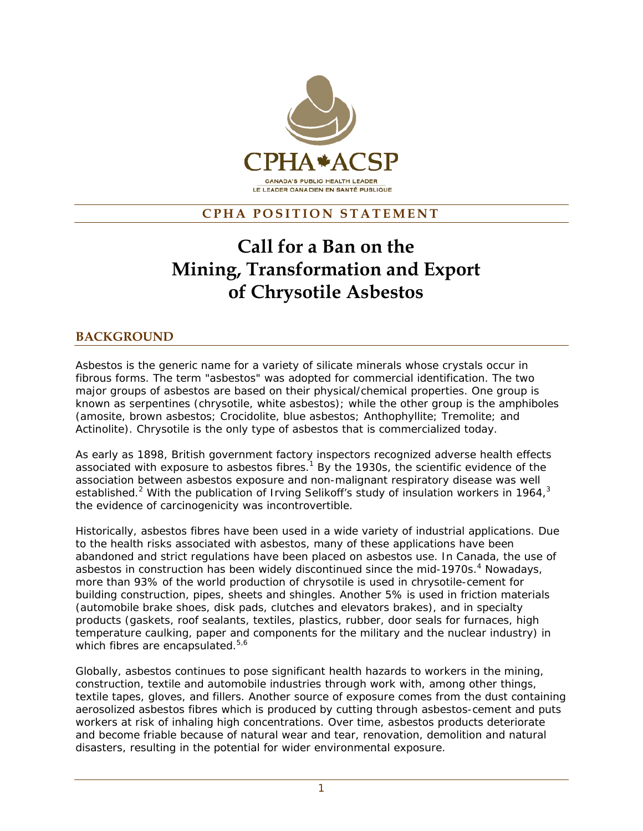

## **CPHA POSITION STATEMENT**

# **Call for a Ban on the Mining, Transformation and Export of Chrysotile Asbestos**

## **BACKGROUND**

Asbestos is the generic name for a variety of silicate minerals whose crystals occur in fibrous forms. The term "asbestos" was adopted for commercial identification. The two major groups of asbestos are based on their physical/chemical properties. One group is known as serpentines (chrysotile, white asbestos); while the other group is the amphiboles (amosite, brown asbestos; Crocidolite, blue asbestos; Anthophyllite; Tremolite; and Actinolite). Chrysotile is the only type of asbestos that is commercialized today.

As early as 1898, British government factory inspectors recognized adverse health effects associated with exposure to asbestos fibres.<sup>1</sup> By the 1930s, the scientific evidence of the association between asbestos exposure and non-malignant respiratory disease was well established.<sup>2</sup> With the publication of Irving Selikoff's study of insulation workers in 1964,<sup>3</sup> the evidence of carcinogenicity was incontrovertible.

Historically, asbestos fibres have been used in a wide variety of industrial applications. Due to the health risks associated with asbestos, many of these applications have been abandoned and strict regulations have been placed on asbestos use. In Canada, the use of asbestos in construction has been widely discontinued since the mid-1970s.<sup>4</sup> Nowadays, more than 93% of the world production of chrysotile is used in chrysotile-cement for building construction, pipes, sheets and shingles. Another 5% is used in friction materials (automobile brake shoes, disk pads, clutches and elevators brakes), and in specialty products (gaskets, roof sealants, textiles, plastics, rubber, door seals for furnaces, high temperature caulking, paper and components for the military and the nuclear industry) in which fibres are encapsulated.<sup>5,6</sup>

Globally, asbestos continues to pose significant health hazards to workers in the mining, construction, textile and automobile industries through work with, among other things, textile tapes, gloves, and fillers. Another source of exposure comes from the dust containing aerosolized asbestos fibres which is produced by cutting through asbestos-cement and puts workers at risk of inhaling high concentrations. Over time, asbestos products deteriorate and become friable because of natural wear and tear, renovation, demolition and natural disasters, resulting in the potential for wider environmental exposure.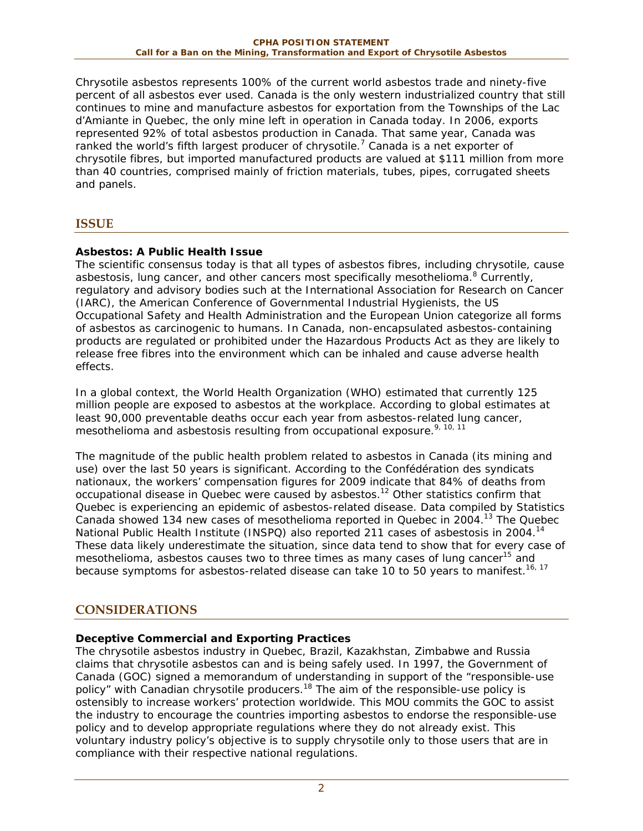Chrysotile asbestos represents 100% of the current world asbestos trade and ninety-five percent of all asbestos ever used. Canada is the only western industrialized country that still continues to mine and manufacture asbestos for exportation from the Townships of the Lac d'Amiante in Quebec, the only mine left in operation in Canada today. In 2006, exports represented 92% of total asbestos production in Canada. That same year, Canada was ranked the world's fifth largest producer of chrysotile.<sup>7</sup> Canada is a net exporter of chrysotile fibres, but imported manufactured products are valued at \$111 million from more than 40 countries, comprised mainly of friction materials, tubes, pipes, corrugated sheets and panels.

## **ISSUE**

## **Asbestos: A Public Health Issue**

The scientific consensus today is that all types of asbestos fibres, including chrysotile, cause asbestosis, lung cancer, and other cancers most specifically mesothelioma.<sup>8</sup> Currently, regulatory and advisory bodies such at the International Association for Research on Cancer (IARC), the American Conference of Governmental Industrial Hygienists, the US Occupational Safety and Health Administration and the European Union categorize all forms of asbestos as carcinogenic to humans. In Canada, non-encapsulated asbestos-containing products are regulated or prohibited under the Hazardous Products Act as they are likely to release free fibres into the environment which can be inhaled and cause adverse health effects.

In a global context, the World Health Organization (WHO) estimated that currently 125 million people are exposed to asbestos at the workplace. According to global estimates at least 90,000 preventable deaths occur each year from asbestos-related lung cancer, mesothelioma and asbestosis resulting from occupational exposure.<sup>9, 10, 11</sup>

The magnitude of the public health problem related to asbestos in Canada (its mining and use) over the last 50 years is significant. According to the Confédération des syndicats nationaux, the workers' compensation figures for 2009 indicate that 84% of deaths from occupational disease in Quebec were caused by asbestos.<sup>12</sup> Other statistics confirm that Quebec is experiencing an epidemic of asbestos-related disease. Data compiled by Statistics Canada showed 134 new cases of mesothelioma reported in Quebec in 2004.13 The Quebec National Public Health Institute (INSPQ) also reported 211 cases of asbestosis in 2004.<sup>14</sup> These data likely underestimate the situation, since data tend to show that for every case of mesothelioma, asbestos causes two to three times as many cases of lung cancer<sup>15</sup> and because symptoms for asbestos-related disease can take 10 to 50 years to manifest.<sup>16, 17</sup>

## **CONSIDERATIONS**

## **Deceptive Commercial and Exporting Practices**

The chrysotile asbestos industry in Quebec, Brazil, Kazakhstan, Zimbabwe and Russia claims that chrysotile asbestos can and is being safely used. In 1997, the Government of Canada (GOC) signed a memorandum of understanding in support of the "responsible-use policy" with Canadian chrysotile producers.<sup>18</sup> The aim of the responsible-use policy is ostensibly to increase workers' protection worldwide. This MOU commits the GOC to assist the industry to encourage the countries importing asbestos to endorse the responsible-use policy and to develop appropriate regulations where they do not already exist. This voluntary industry policy's objective is to supply chrysotile only to those users that are in compliance with their respective national regulations.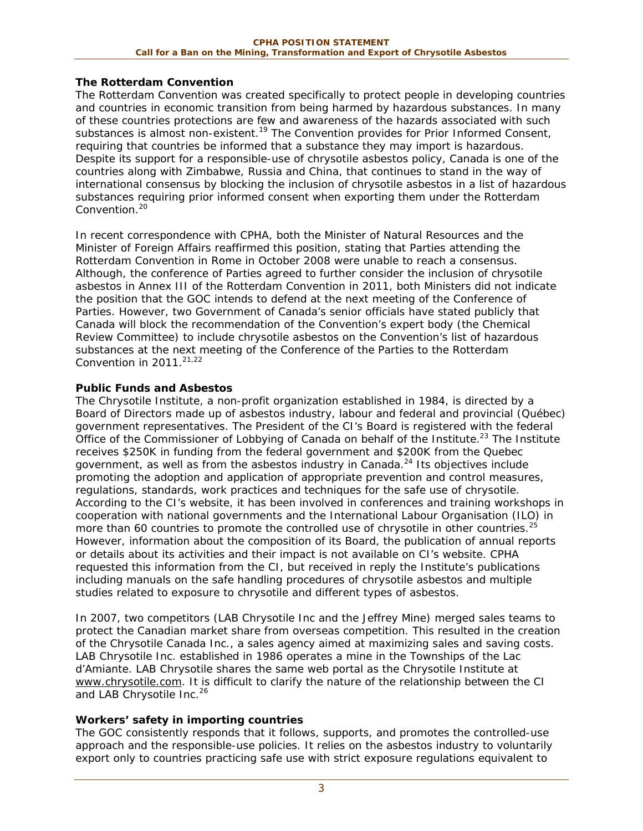#### **The Rotterdam Convention**

The Rotterdam Convention was created specifically to protect people in developing countries and countries in economic transition from being harmed by hazardous substances. In many of these countries protections are few and awareness of the hazards associated with such substances is almost non-existent.<sup>19</sup> The Convention provides for Prior Informed Consent, requiring that countries be informed that a substance they may import is hazardous. Despite its support for a responsible-use of chrysotile asbestos policy, Canada is one of the countries along with Zimbabwe, Russia and China, that continues to stand in the way of international consensus by blocking the inclusion of chrysotile asbestos in a list of hazardous substances requiring prior informed consent when exporting them under the Rotterdam Convention.<sup>20</sup>

In recent correspondence with CPHA, both the Minister of Natural Resources and the Minister of Foreign Affairs reaffirmed this position, stating that Parties attending the Rotterdam Convention in Rome in October 2008 were unable to reach a consensus. Although, the conference of Parties agreed to further consider the inclusion of chrysotile asbestos in Annex III of the Rotterdam Convention in 2011, both Ministers did not indicate the position that the GOC intends to defend at the next meeting of the Conference of Parties. However, two Government of Canada's senior officials have stated publicly that Canada will block the recommendation of the Convention's expert body (the Chemical Review Committee) to include chrysotile asbestos on the Convention's list of hazardous substances at the next meeting of the Conference of the Parties to the Rotterdam Convention in  $2011.<sup>21,22</sup>$ 

#### **Public Funds and Asbestos**

The Chrysotile Institute, a non-profit organization established in 1984, is directed by a Board of Directors made up of asbestos industry, labour and federal and provincial (Québec) government representatives. The President of the CI's Board is registered with the federal Office of the Commissioner of Lobbying of Canada on behalf of the Institute.<sup>23</sup> The Institute receives \$250K in funding from the federal government and \$200K from the Quebec government, as well as from the asbestos industry in Canada.<sup>24</sup> Its objectives include promoting the adoption and application of appropriate prevention and control measures, regulations, standards, work practices and techniques for the safe use of chrysotile. According to the CI's website, it has been involved in conferences and training workshops in cooperation with national governments and the International Labour Organisation (ILO) in more than 60 countries to promote the controlled use of chrysotile in other countries.<sup>25</sup> However, information about the composition of its Board, the publication of annual reports or details about its activities and their impact is not available on CI's website. CPHA requested this information from the CI, but received in reply the Institute's publications including manuals on the safe handling procedures of chrysotile asbestos and multiple studies related to exposure to chrysotile and different types of asbestos.

In 2007, two competitors (LAB Chrysotile Inc and the Jeffrey Mine) merged sales teams to protect the Canadian market share from overseas competition. This resulted in the creation of the Chrysotile Canada Inc., a sales agency aimed at maximizing sales and saving costs. LAB Chrysotile Inc. established in 1986 operates a mine in the Townships of the Lac d'Amiante. LAB Chrysotile shares the same web portal as the Chrysotile Institute at www.chrysotile.com. It is difficult to clarify the nature of the relationship between the CI and LAB Chrysotile Inc.<sup>26</sup>

#### **Workers' safety in importing countries**

The GOC consistently responds that it follows, supports, and promotes the controlled-use approach and the responsible-use policies. It relies on the asbestos industry to voluntarily export only to countries practicing safe use with strict exposure regulations equivalent to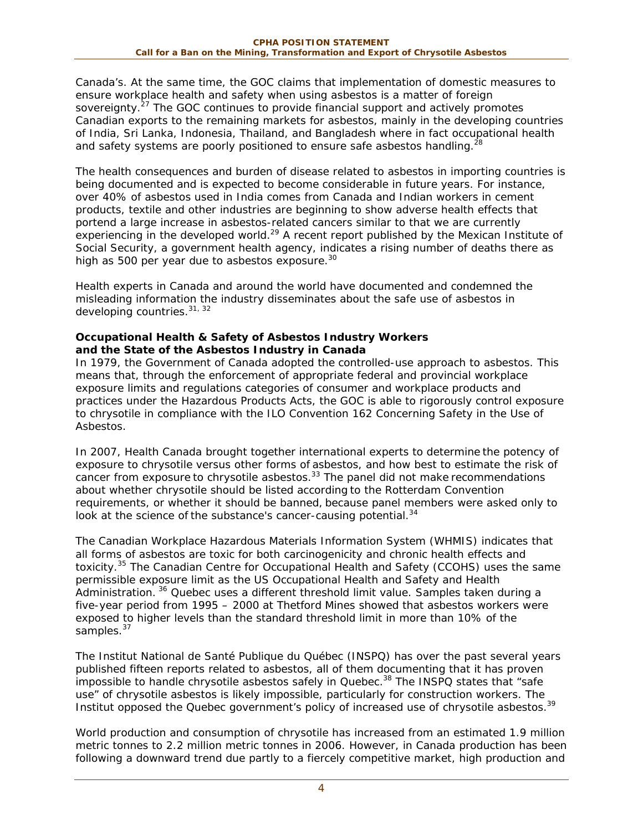Canada's. At the same time, the GOC claims that implementation of domestic measures to ensure workplace health and safety when using asbestos is a matter of foreign sovereignty.<sup>27</sup> The GOC continues to provide financial support and actively promotes Canadian exports to the remaining markets for asbestos, mainly in the developing countries of India, Sri Lanka, Indonesia, Thailand, and Bangladesh where in fact occupational health and safety systems are poorly positioned to ensure safe asbestos handling.<sup>28</sup>

The health consequences and burden of disease related to asbestos in importing countries is being documented and is expected to become considerable in future years. For instance, over 40% of asbestos used in India comes from Canada and Indian workers in cement products, textile and other industries are beginning to show adverse health effects that portend a large increase in asbestos-related cancers similar to that we are currently experiencing in the developed world.<sup>29</sup> A recent report published by the Mexican Institute of Social Security, a government health agency, indicates a rising number of deaths there as high as 500 per year due to asbestos exposure.<sup>30</sup>

Health experts in Canada and around the world have documented and condemned the misleading information the industry disseminates about the safe use of asbestos in developing countries.31, 32

#### **Occupational Health & Safety of Asbestos Industry Workers and the State of the Asbestos Industry in Canada**

In 1979, the Government of Canada adopted the controlled-use approach to asbestos. This means that, through the enforcement of appropriate federal and provincial workplace exposure limits and regulations categories of consumer and workplace products and practices under the Hazardous Products Acts, the GOC is able to rigorously control exposure to chrysotile in compliance with the ILO Convention 162 Concerning Safety in the Use of Asbestos.

In 2007, Health Canada brought together international experts to determine the potency of exposure to chrysotile versus other forms of asbestos, and how best to estimate the risk of cancer from exposure to chrysotile asbestos.<sup>33</sup> The panel did not make recommendations about whether chrysotile should be listed according to the Rotterdam Convention requirements, or whether it should be banned, because panel members were asked only to look at the science of the substance's cancer-causing potential. $34$ 

The Canadian Workplace Hazardous Materials Information System (WHMIS) indicates that all forms of asbestos are toxic for both carcinogenicity and chronic health effects and toxicity.<sup>35</sup> The Canadian Centre for Occupational Health and Safety (CCOHS) uses the same permissible exposure limit as the US Occupational Health and Safety and Health Administration.<sup>36</sup> Quebec uses a different threshold limit value. Samples taken during a five-year period from 1995 – 2000 at Thetford Mines showed that asbestos workers were exposed to higher levels than the standard threshold limit in more than 10% of the samples.<sup>37</sup>

The Institut National de Santé Publique du Québec (INSPQ) has over the past several years published fifteen reports related to asbestos, all of them documenting that it has proven impossible to handle chrysotile asbestos safely in Quebec.<sup>38</sup> The INSPQ states that "safe use" of chrysotile asbestos is likely impossible, particularly for construction workers. The Institut opposed the Quebec government's policy of increased use of chrysotile asbestos.<sup>39</sup>

World production and consumption of chrysotile has increased from an estimated 1.9 million metric tonnes to 2.2 million metric tonnes in 2006. However, in Canada production has been following a downward trend due partly to a fiercely competitive market, high production and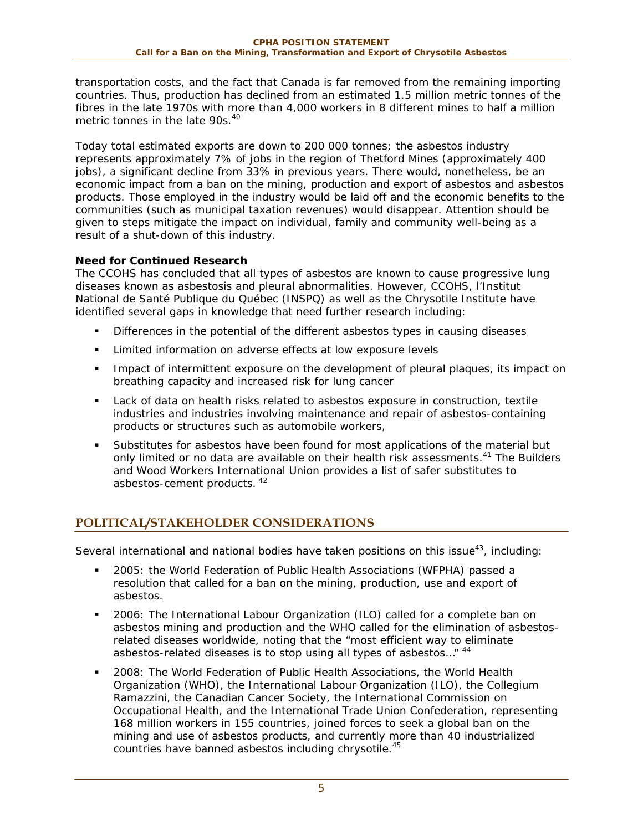transportation costs, and the fact that Canada is far removed from the remaining importing countries. Thus, production has declined from an estimated 1.5 million metric tonnes of the fibres in the late 1970s with more than 4,000 workers in 8 different mines to half a million metric tonnes in the late 90s.<sup>40</sup>

Today total estimated exports are down to 200 000 tonnes; the asbestos industry represents approximately 7% of jobs in the region of Thetford Mines (approximately 400 jobs), a significant decline from 33% in previous years. There would, nonetheless, be an economic impact from a ban on the mining, production and export of asbestos and asbestos products. Those employed in the industry would be laid off and the economic benefits to the communities (such as municipal taxation revenues) would disappear. Attention should be given to steps mitigate the impact on individual, family and community well-being as a result of a shut-down of this industry.

## **Need for Continued Research**

The CCOHS has concluded that all types of asbestos are known to cause progressive lung diseases known as asbestosis and pleural abnormalities. However, CCOHS, l'Institut National de Santé Publique du Québec (INSPQ) as well as the Chrysotile Institute have identified several gaps in knowledge that need further research including:

- Differences in the potential of the different asbestos types in causing diseases
- **EXTER** Limited information on adverse effects at low exposure levels
- **IMPACT IMM** Impact of intermittent exposure on the development of pleural plaques, its impact on breathing capacity and increased risk for lung cancer
- Lack of data on health risks related to asbestos exposure in construction, textile industries and industries involving maintenance and repair of asbestos-containing products or structures such as automobile workers,
- Substitutes for asbestos have been found for most applications of the material but only limited or no data are available on their health risk assessments.<sup>41</sup> The Builders and Wood Workers International Union provides a list of safer substitutes to asbestos-cement products. 42

# **POLITICAL/STAKEHOLDER CONSIDERATIONS**

Several international and national bodies have taken positions on this issue $43$ , including:

- 2005: the World Federation of Public Health Associations (WFPHA) passed a resolution that called for a ban on the mining, production, use and export of asbestos.
- 2006: The International Labour Organization (ILO) called for a complete ban on asbestos mining and production and the WHO called for the elimination of asbestosrelated diseases worldwide, noting that the "most efficient way to eliminate asbestos-related diseases is to stop using all types of asbestos…" 44
- 2008: The World Federation of Public Health Associations, the World Health Organization (WHO), the International Labour Organization (ILO), the Collegium Ramazzini, the Canadian Cancer Society, the International Commission on Occupational Health, and the International Trade Union Confederation, representing 168 million workers in 155 countries, joined forces to seek a global ban on the mining and use of asbestos products, and currently more than 40 industrialized countries have banned asbestos including chrysotile.<sup>45</sup>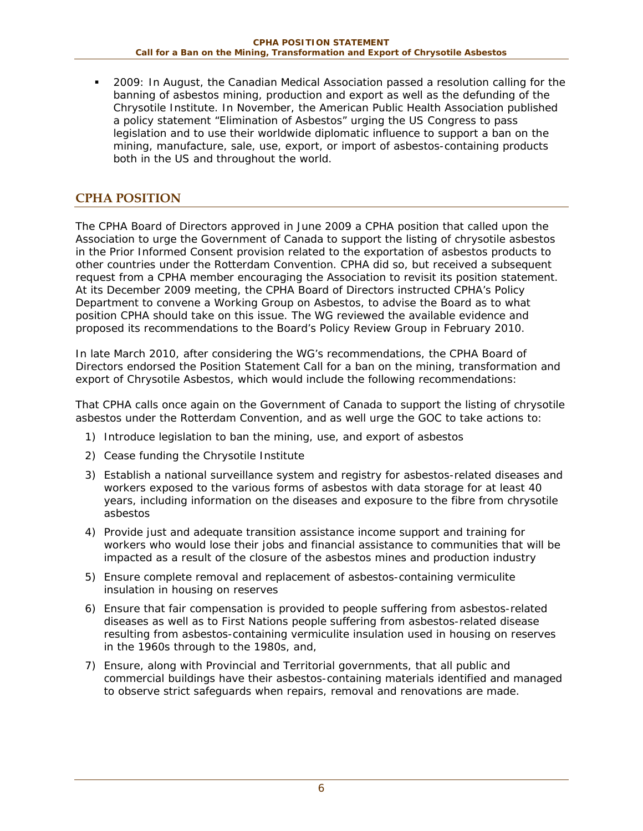2009: In August, the Canadian Medical Association passed a resolution calling for the banning of asbestos mining, production and export as well as the defunding of the Chrysotile Institute. In November, the American Public Health Association published a policy statement "Elimination of Asbestos" urging the US Congress to pass legislation and to use their worldwide diplomatic influence to support a ban on the mining, manufacture, sale, use, export, or import of asbestos-containing products both in the US and throughout the world.

## **CPHA POSITION**

The CPHA Board of Directors approved in June 2009 a CPHA position that called upon the Association to urge the Government of Canada to support the listing of chrysotile asbestos in the Prior Informed Consent provision related to the exportation of asbestos products to other countries under the Rotterdam Convention. CPHA did so, but received a subsequent request from a CPHA member encouraging the Association to revisit its position statement. At its December 2009 meeting, the CPHA Board of Directors instructed CPHA's Policy Department to convene a Working Group on Asbestos, to advise the Board as to what position CPHA should take on this issue. The WG reviewed the available evidence and proposed its recommendations to the Board's Policy Review Group in February 2010.

In late March 2010, after considering the WG's recommendations, the CPHA Board of Directors endorsed the Position Statement *Call for a ban on the mining, transformation and export of Chrysotile Asbestos,* which would include the following recommendations:

That CPHA calls once again on the Government of Canada to support the listing of chrysotile asbestos under the Rotterdam Convention, and as well urge the GOC to take actions to:

- 1) Introduce legislation to ban the mining, use, and export of asbestos
- 2) Cease funding the Chrysotile Institute
- 3) Establish a national surveillance system and registry for asbestos-related diseases and workers exposed to the various forms of asbestos with data storage for at least 40 years, including information on the diseases and exposure to the fibre from chrysotile asbestos
- 4) Provide just and adequate transition assistance income support and training for workers who would lose their jobs and financial assistance to communities that will be impacted as a result of the closure of the asbestos mines and production industry
- 5) Ensure complete removal and replacement of asbestos-containing vermiculite insulation in housing on reserves
- 6) Ensure that fair compensation is provided to people suffering from asbestos-related diseases as well as to First Nations people suffering from asbestos-related disease resulting from asbestos-containing vermiculite insulation used in housing on reserves in the 1960s through to the 1980s, and,
- 7) Ensure, along with Provincial and Territorial governments, that all public and commercial buildings have their asbestos-containing materials identified and managed to observe strict safeguards when repairs, removal and renovations are made.